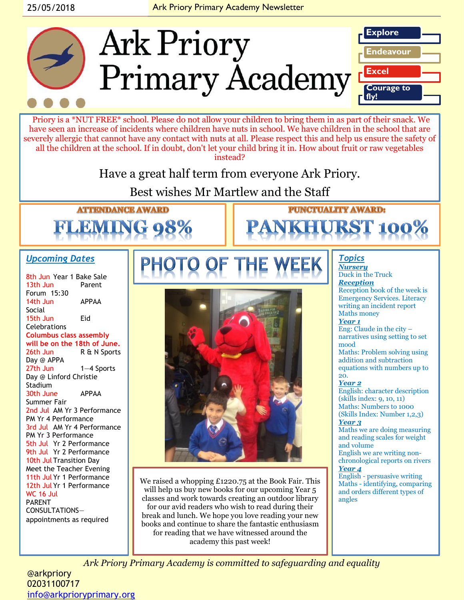

02031100717 [info@arkprioryprimary.org](mailto:info@arkprioryprimary.org)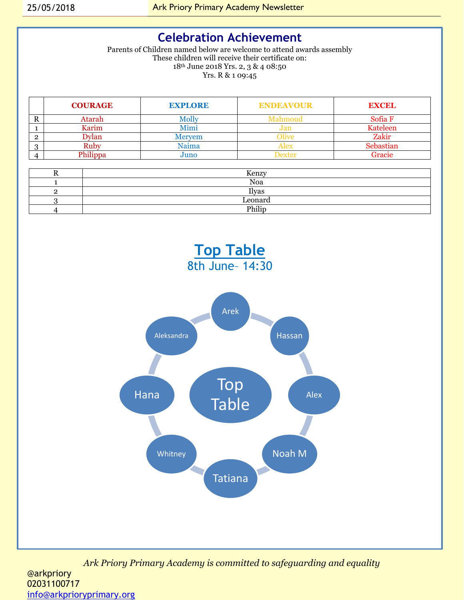### **Celebration Achievement**

Parents of Children named below are welcome to attend awards assembly These children will receive their certificate on: 18th June 2018 Yrs. 2, 3 & 4 08:50 Yrs. R & 1 09:45

|   | <b>COURAGE</b> | <b>EXPLORE</b> | <b>ENDEAVOUR</b> | <b>EXCEL</b>    |
|---|----------------|----------------|------------------|-----------------|
| A | Atarah         | MOIIV          | Aahmouc          | Sofia F         |
|   | Karim          | Mimi           | Jan              | <b>Kateleen</b> |
|   | vlan           | Mervem         | live             | Zakir           |
|   | Ruby           | Naima          | Alex             | Sebastian       |
|   | Philippa       | Juno           | <b>Dexter</b>    | Gracie          |

| Kenzy   |
|---------|
| Noa     |
| Ilyas   |
| Leonard |
| Philip  |



*Ark Priory Primary Academy is committed to safeguarding and equality*  @arkpriory 02031100717 [info@arkprioryprimary.org](mailto:info@arkprioryprimary.org)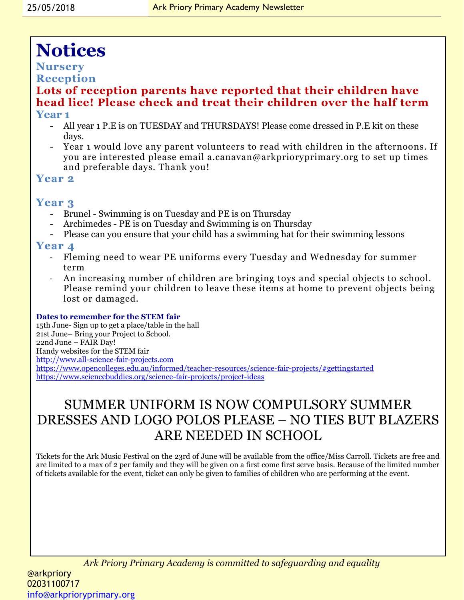# **Notices**

#### **Nursery Reception**

#### **Lots of reception parents have reported that their children have head lice! Please check and treat their children over the half term Year 1**

- All year 1 P.E is on TUESDAY and THURSDAYS! Please come dressed in P.E kit on these days.
- Year 1 would love any parent volunteers to read with children in the afternoons. If you are interested please email a.canavan@arkprioryprimary.org to set up times and preferable days. Thank you!

#### **Year 2**

#### **Year 3**

- Brunel Swimming is on Tuesday and PE is on Thursday
- Archimedes PE is on Tuesday and Swimming is on Thursday
- Please can you ensure that your child has a swimming hat for their swimming lessons

#### **Year 4**

- Fleming need to wear PE uniforms every Tuesday and Wednesday for summer term
- An increasing number of children are bringing toys and special objects to school. Please remind your children to leave these items at home to prevent objects being lost or damaged.

#### **Dates to remember for the STEM fair**

15th June- Sign up to get a place/table in the hall 21st June– Bring your Project to School. 22nd June – FAIR Day! Handy websites for the STEM fair [http://www.all-science-fair-projects.com](http://www.all-science-fair-projects.com/) <https://www.opencolleges.edu.au/informed/teacher-resources/science-fair-projects/#gettingstarted> <https://www.sciencebuddies.org/science-fair-projects/project-ideas>

## SUMMER UNIFORM IS NOW COMPULSORY SUMMER DRESSES AND LOGO POLOS PLEASE – NO TIES BUT BLAZERS ARE NEEDED IN SCHOOL

Tickets for the Ark Music Festival on the 23rd of June will be available from the office/Miss Carroll. Tickets are free and are limited to a max of 2 per family and they will be given on a first come first serve basis. Because of the limited number of tickets available for the event, ticket can only be given to families of children who are performing at the event.